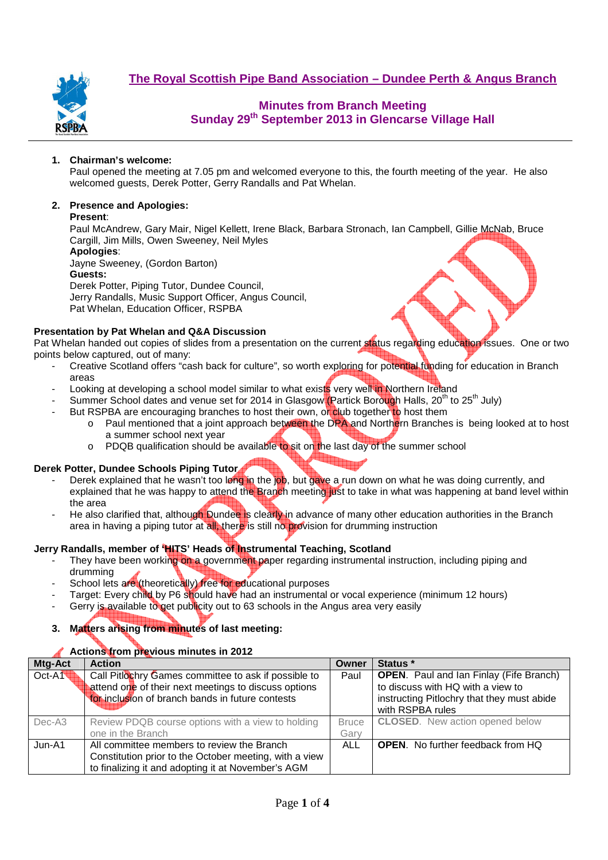**The Royal Scottish Pipe Band Association – Dundee Perth & Angus Branch**



## **Minutes from Branch Meeting Sunday 29th September 2013 in Glencarse Village Hall**

### **1. Chairman's welcome:**

Paul opened the meeting at 7.05 pm and welcomed everyone to this, the fourth meeting of the year. He also welcomed guests, Derek Potter, Gerry Randalls and Pat Whelan.

## **2. Presence and Apologies:**

#### **Present**:

Paul McAndrew, Gary Mair, Nigel Kellett, Irene Black, Barbara Stronach, Ian Campbell, Gillie McNab, Bruce Cargill, Jim Mills, Owen Sweeney, Neil Myles

**Apologies**: Jayne Sweeney, (Gordon Barton) **Guests:**  Derek Potter, Piping Tutor, Dundee Council, Jerry Randalls, Music Support Officer, Angus Council, Pat Whelan, Education Officer, RSPBA

### **Presentation by Pat Whelan and Q&A Discussion**

Pat Whelan handed out copies of slides from a presentation on the current status regarding education issues. One or two points below captured, out of many:

- Creative Scotland offers "cash back for culture", so worth exploring for potential funding for education in Branch areas
- Looking at developing a school model similar to what exists very well in Northern Ireland
- Summer School dates and venue set for 2014 in Glasgow (Partick Borough Halls, 20<sup>th</sup> to 25<sup>th</sup> July)
- But RSPBA are encouraging branches to host their own, or club together to host them
	- o Paul mentioned that a joint approach between the DPA and Northern Branches is being looked at to host a summer school next year
	- $\circ$  PDQB qualification should be available to sit on the last day of the summer school

### **Derek Potter, Dundee Schools Piping Tutor**

- Derek explained that he wasn't too long in the job, but gave a run down on what he was doing currently, and explained that he was happy to attend the Branch meeting just to take in what was happening at band level within the area
- He also clarified that, although Dundee is clearly in advance of many other education authorities in the Branch area in having a piping tutor at all, there is still no provision for drumming instruction

### **Jerry Randalls, member of 'HITS' Heads of Instrumental Teaching, Scotland**

- They have been working on a government paper regarding instrumental instruction, including piping and drumming
- School lets are (theoretically) free for educational purposes
- Target: Every child by P6 should have had an instrumental or vocal experience (minimum 12 hours)
- Gerry is available to get publicity out to 63 schools in the Angus area very easily

### **3. Matters arising from minutes of last meeting:**

### **Actions from previous minutes in 2012**

| Mtg-Act | <b>Action</b>                                          | Owner        | Status *                                       |  |  |
|---------|--------------------------------------------------------|--------------|------------------------------------------------|--|--|
| Oct-A1  | Call Pitlochry Games committee to ask if possible to   | Paul         | <b>OPEN.</b> Paul and Ian Finlay (Fife Branch) |  |  |
|         | attend one of their next meetings to discuss options   |              | to discuss with HQ with a view to              |  |  |
|         | for inclusion of branch bands in future contests       |              | instructing Pitlochry that they must abide     |  |  |
|         |                                                        |              | with RSPBA rules                               |  |  |
| Dec-A3  | Review PDQB course options with a view to holding      | <b>Bruce</b> | <b>CLOSED.</b> New action opened below         |  |  |
|         | one in the Branch                                      | Garv         |                                                |  |  |
| Jun-A1  | All committee members to review the Branch             | ALL          | <b>OPEN.</b> No further feedback from HQ       |  |  |
|         | Constitution prior to the October meeting, with a view |              |                                                |  |  |
|         | to finalizing it and adopting it at November's AGM     |              |                                                |  |  |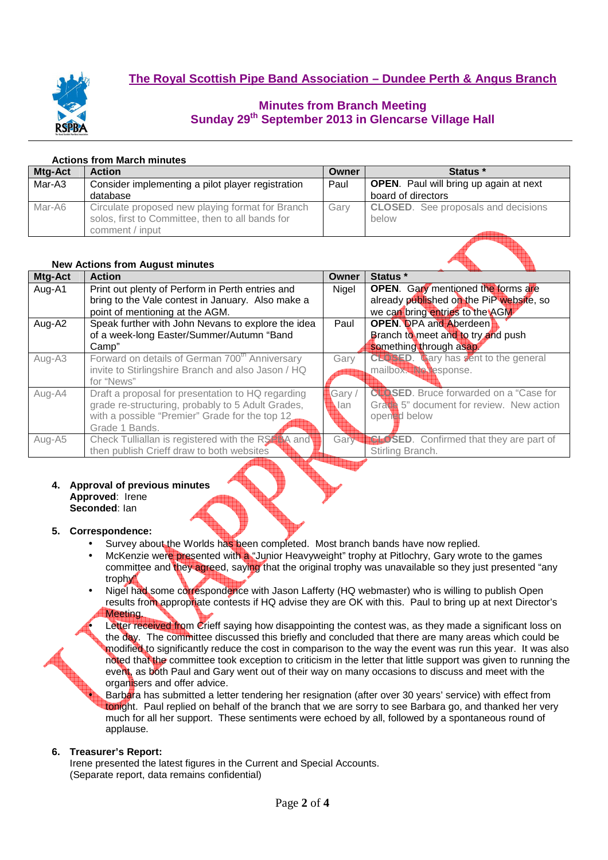

# **Minutes from Branch Meeting Sunday 29th September 2013 in Glencarse Village Hall**

## **Actions from March minutes**

| Mtg-Act | <b>Action</b>                                     | Owner | Status *                                      |  |  |
|---------|---------------------------------------------------|-------|-----------------------------------------------|--|--|
| Mar-A3  | Consider implementing a pilot player registration | Paul  | <b>OPEN.</b> Paul will bring up again at next |  |  |
|         | database                                          |       | board of directors                            |  |  |
| Mar-A6  | Circulate proposed new playing format for Branch  | Garv  | <b>CLOSED.</b> See proposals and decisions    |  |  |
|         | solos, first to Committee, then to all bands for  |       | below                                         |  |  |
|         | comment / input                                   |       |                                               |  |  |

### **New Actions from August minutes**

| <b>NGW ACHONS HOME August IMMUSS</b> |                                                            |       |                                             |
|--------------------------------------|------------------------------------------------------------|-------|---------------------------------------------|
| Mtg-Act                              | <b>Action</b>                                              | Owner | Status *                                    |
| Aug-A1                               | Print out plenty of Perform in Perth entries and           | Nigel | <b>OPEN.</b> Gary mentioned the forms are   |
|                                      | bring to the Vale contest in January. Also make a          |       | already published on the PiP website, so    |
|                                      | point of mentioning at the AGM.                            |       | we can bring entries to the AGM             |
| Aug-A2                               | Speak further with John Nevans to explore the idea         | Paul  | <b>OPEN.</b> DPA and Aberdeen               |
|                                      | of a week-long Easter/Summer/Autumn "Band                  |       | Branch to meet and to try and push          |
|                                      | Camp"                                                      |       | something through asap.                     |
| Aug-A3                               | Forward on details of German 700 <sup>th</sup> Anniversary | Gary  | <b>CLUBED.</b> Cary has sent to the general |
|                                      | invite to Stirlingshire Branch and also Jason / HQ         |       | mailbox. The response.                      |
|                                      | for "News"                                                 |       |                                             |
| Aug-A4                               | Draft a proposal for presentation to HQ regarding          | Gary/ | CLOSED. Bruce forwarded on a "Case for      |
|                                      | grade re-structuring, probably to 5 Adult Grades,          | .lan  | Grate 5" document for review. New action    |
|                                      | with a possible "Premier" Grade for the top 12             |       | opend below                                 |
|                                      | Grade 1 Bands.                                             |       |                                             |
| Aug-A5                               | Check Tulliallan is registered with the RS4 A and          | Gary  | <b>SED.</b> Confirmed that they are part of |
|                                      | then publish Crieff draw to both websites                  |       | Stirling Branch.                            |
|                                      |                                                            |       |                                             |

#### **4. Approval of previous minutes Approved**: Irene **Seconded**: Ian

## **5. Correspondence:**

- Survey about the Worlds has been completed. Most branch bands have now replied.
- McKenzie were presented with a "Junior Heavyweight" trophy at Pitlochry, Gary wrote to the games committee and they agreed, saying that the original trophy was unavailable so they just presented "any trophy<sup>1</sup>
- Nigel had some correspondence with Jason Lafferty (HQ webmaster) who is willing to publish Open results from appropriate contests if HQ advise they are OK with this. Paul to bring up at next Director's Meeting.

Letter received from Crieff saying how disappointing the contest was, as they made a significant loss on the day. The committee discussed this briefly and concluded that there are many areas which could be modified to significantly reduce the cost in comparison to the way the event was run this year. It was also noted that the committee took exception to criticism in the letter that little support was given to running the event, as both Paul and Gary went out of their way on many occasions to discuss and meet with the organisers and offer advice.

Barbara has submitted a letter tendering her resignation (after over 30 years' service) with effect from tonight. Paul replied on behalf of the branch that we are sorry to see Barbara go, and thanked her very much for all her support. These sentiments were echoed by all, followed by a spontaneous round of applause.

## **6. Treasurer's Report:**

Irene presented the latest figures in the Current and Special Accounts. (Separate report, data remains confidential)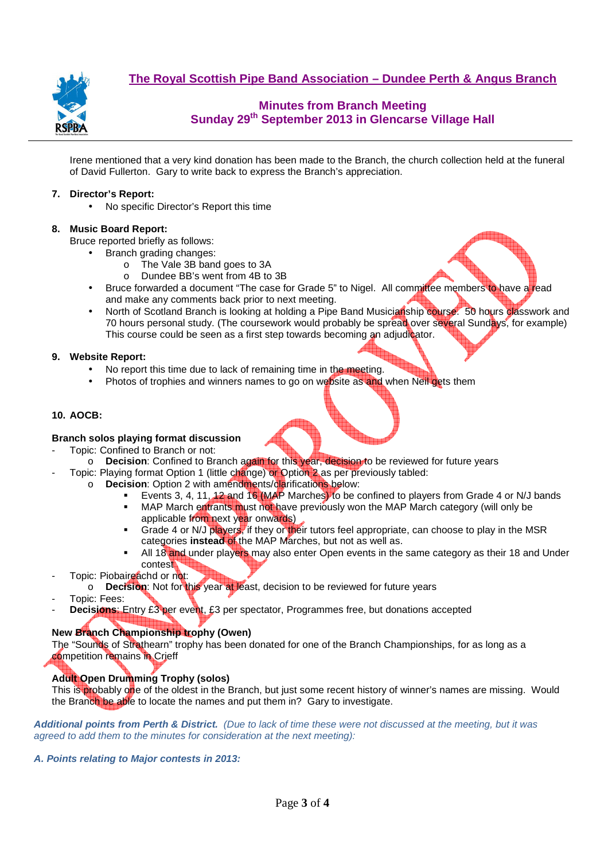

**The Royal Scottish Pipe Band Association – Dundee Perth & Angus Branch**

# **Minutes from Branch Meeting Sunday 29th September 2013 in Glencarse Village Hall**

Irene mentioned that a very kind donation has been made to the Branch, the church collection held at the funeral of David Fullerton. Gary to write back to express the Branch's appreciation.

#### **7. Director's Report:**

• No specific Director's Report this time

#### **8. Music Board Report:**

Bruce reported briefly as follows:

- Branch grading changes:
	- o The Vale 3B band goes to 3A
	- o Dundee BB's went from 4B to 3B
- Bruce forwarded a document "The case for Grade 5" to Nigel. All committee members to have a read and make any comments back prior to next meeting.
- North of Scotland Branch is looking at holding a Pipe Band Musicianship course. 50 hours classwork and 70 hours personal study. (The coursework would probably be spread over several Sundays, for example) This course could be seen as a first step towards becoming an adjudicator.

#### **9. Website Report:**

- No report this time due to lack of remaining time in the meeting.
- Photos of trophies and winners names to go on website as and when Neil gets them

#### **10. AOCB:**

### **Branch solos playing format discussion**

- Topic: Confined to Branch or not:
- o **Decision**: Confined to Branch again for this year, decision to be reviewed for future years
- Topic: Playing format Option 1 (little change) or Option 2 as per previously tabled:
	- o **Decision**: Option 2 with amendments/clarifications below:
		- Events 3, 4, 11, 12 and 16 (MAP Marches) to be confined to players from Grade 4 or N/J bands
			- **MAP March entrants must not have previously won the MAP March category (will only be** applicable from next year onwards)
			- Grade 4 or N/J players, if they or their tutors feel appropriate, can choose to play in the MSR categories **instead** of the MAP Marches, but not as well as.
		- All 18 and under players may also enter Open events in the same category as their 18 and Under contest
- Topic: Piobaireachd or not:
- o **Decision**: Not for this year at least, decision to be reviewed for future years
- Topic: Fees:
- **Decisions:** Entry £3 per event, £3 per spectator, Programmes free, but donations accepted

# **New Branch Championship trophy (Owen)**

The "Sounds of Strathearn" trophy has been donated for one of the Branch Championships, for as long as a competition remains in Crieff

# **Adult Open Drumming Trophy (solos)**

This is probably one of the oldest in the Branch, but just some recent history of winner's names are missing. Would the Branch be able to locate the names and put them in? Gary to investigate.

**Additional points from Perth & District.** (Due to lack of time these were not discussed at the meeting, but it was agreed to add them to the minutes for consideration at the next meeting):

**A. Points relating to Major contests in 2013:**